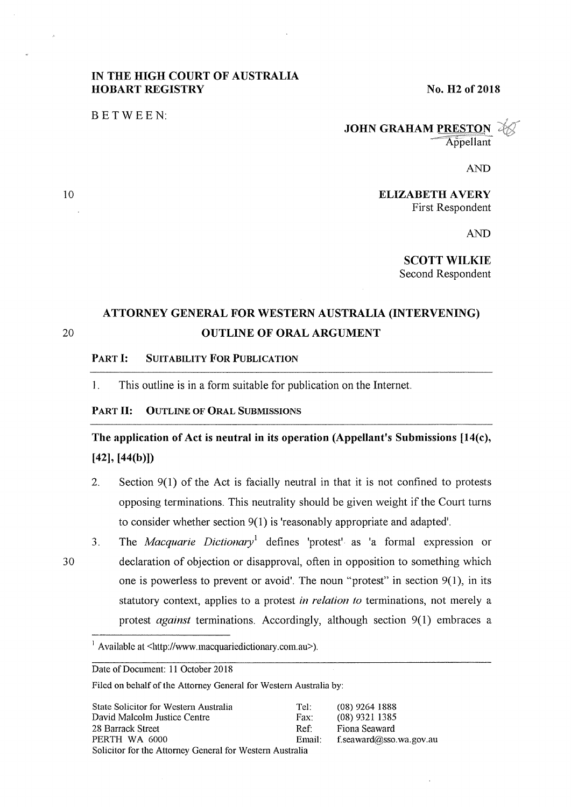### IN THE HIGH COURT OF AUSTRALIA HOBART REGISTRY

No. H2 of 2018

BETWEEN:

### **JOHN GRAHAM PRESTON** Appellant

AND

ELIZABETH AVERY First Respondent

AND

SCOTT WILKIE Second Respondent

## ATTORNEY GENERAL FOR WESTERN AUSTRALIA (INTERVENING) OUTLINE OF ORAL ARGUMENT

#### PART I: SUITABILITY FOR PUBLICATION

1. This outline is in a form suitable for publication on the Internet.

#### PART II: OUTLINE OF ORAL SUBMISSIONS

The application of Act is neutral in its operation (Appellant's Submissions [14(c), [42], [44(b)])

- 2. Section 9(1) of the Act is facially neutral in that it is not confined to protests opposing terminations. This neutrality should be given weight if the Court turns to consider whether section 9(1) is 'reasonably appropriate and adapted'.
- 3. The *Macquarie Dictionmy<sup>1</sup>*defines 'protest' as 'a formal expression or declaration of objection or disapproval, often in opposition to something which one is powerless to prevent or avoid'. The noun "protest" in section  $9(1)$ , in its statutory context, applies to a protest *in relation to* terminations, not merely a protest *against* terminations. Accordingly, although section 9(1) embraces a

1 Available at <http://www.macquariedictionary.com.au>).

Date of Document: 11 October 2018

Filed on behalf of the Attorney General for Western Australia by:

| State Solicitor for Western Australia                    | Tel:   | $(08)$ 9264 1888        |
|----------------------------------------------------------|--------|-------------------------|
| David Malcolm Justice Centre                             | Fax:   | $(08)$ 9321 1385        |
| 28 Barrack Street                                        | Ref:   | Fiona Seaward           |
| PERTH WA 6000                                            | Email: | f.seaward@sso.wa.gov.au |
| Solicitor for the Attorney General for Western Australia |        |                         |

10

20

30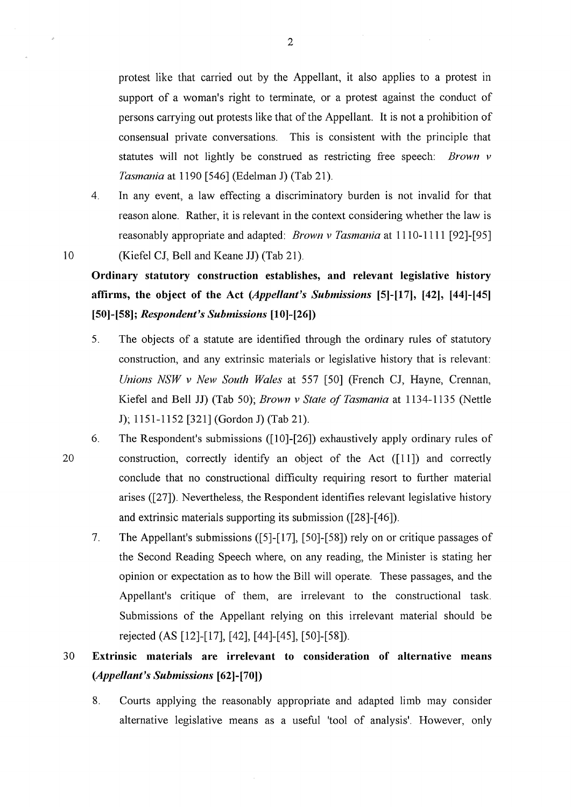protest like that carried out by the Appellant, it also applies to a protest in support of a woman's right to terminate, or a protest against the conduct of persons carrying out protests like that of the Appellant. It is not a prohibition of consensual private conversations. This is consistent with the principle that statutes will not lightly be construed as restricting free speech: *Brown v Tasmania* at 1190 [546] (Edelman J) (Tab 21).

4. In any event, a law effecting a discriminatory burden is not invalid for that reason alone. Rather, it is relevant in the context considering whether the law is reasonably appropriate and adapted: *Brown v Tasmania* at 1110-1111 [92]-[95] (Kiefel CJ, Bell and Keane **JJ)** (Tab 21 ).

10

**Ordinary statutory construction establishes, and relevant legislative history affirms, the object of the Act** *(Appellant's Submissions* **[5]-[17], [42j, [44]-[45] (50]-[58];** *Respondent's Submissions* **(10]-[26])** 

- 5. The objects of a statute are identified through the ordinary rules of statutory construction, and any extrinsic materials or legislative history that is relevant: *Unions NSW v New South Wales* at 557 [50] (French CJ, Hayne, Crennan, Kiefel and Bell JJ) (Tab 50); *Brown v State of Tasmania* at 1134-1135 (Nettle J); 1151-1152 [321] (Gordon J) (Tab 21).
- 20 6. The Respondent's submissions ([10]-[26]) exhaustively apply ordinary rules of construction, correctly identify an object of the Act ([11]) and correctly conclude that no constructional difficulty requiring resort to further material arises ([27]). Nevertheless, the Respondent identifies relevant legislative history and extrinsic materials supporting its submission ([28]-[ 46]).
	- 7. The Appellant's submissions ([5]-[17], [50]-[58]) rely on or critique passages of the Second Reading Speech where, on any reading, the Minister is stating her opinion or expectation as to how the Bill will operate. These passages, and the Appellant's critique of them, are irrelevant to the constructional task. Submissions of the Appellant relying on this irrelevant material should be rejected (AS [12]-[17], [ 42], [ 44]-[ 45], [50]-[ 58]).

## 30 **Extrinsic materials are irrelevant to consideration of alternative means**  *(Appellant's Submissions* **(62]-[70])**

8. Courts applying the reasonably appropriate and adapted limb may consider alternative legislative means as a useful 'tool of analysis'. However, only

 $\sim$   $\alpha$